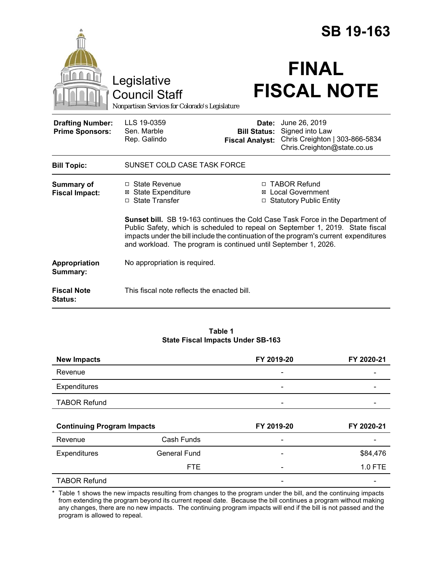|                                                   |                                                                                                                                                                                                                                                                                                                                     |                                                        | <b>SB 19-163</b>                                                                                  |  |
|---------------------------------------------------|-------------------------------------------------------------------------------------------------------------------------------------------------------------------------------------------------------------------------------------------------------------------------------------------------------------------------------------|--------------------------------------------------------|---------------------------------------------------------------------------------------------------|--|
|                                                   | Legislative<br><b>Council Staff</b><br>Nonpartisan Services for Colorado's Legislature                                                                                                                                                                                                                                              |                                                        | <b>FINAL</b><br><b>FISCAL NOTE</b>                                                                |  |
| <b>Drafting Number:</b><br><b>Prime Sponsors:</b> | LLS 19-0359<br>Sen. Marble<br>Rep. Galindo                                                                                                                                                                                                                                                                                          | Date:<br><b>Bill Status:</b><br><b>Fiscal Analyst:</b> | June 26, 2019<br>Signed into Law<br>Chris Creighton   303-866-5834<br>Chris.Creighton@state.co.us |  |
| <b>Bill Topic:</b>                                | SUNSET COLD CASE TASK FORCE                                                                                                                                                                                                                                                                                                         |                                                        |                                                                                                   |  |
| <b>Summary of</b><br><b>Fiscal Impact:</b>        | □ State Revenue<br><b>⊠ State Expenditure</b><br>□ State Transfer                                                                                                                                                                                                                                                                   |                                                        | □ TABOR Refund<br><b>⊠</b> Local Government<br>□ Statutory Public Entity                          |  |
|                                                   | <b>Sunset bill.</b> SB 19-163 continues the Cold Case Task Force in the Department of<br>Public Safety, which is scheduled to repeal on September 1, 2019. State fiscal<br>impacts under the bill include the continuation of the program's current expenditures<br>and workload. The program is continued until September 1, 2026. |                                                        |                                                                                                   |  |
| Appropriation<br>Summary:                         | No appropriation is required.                                                                                                                                                                                                                                                                                                       |                                                        |                                                                                                   |  |
| <b>Fiscal Note</b><br><b>Status:</b>              | This fiscal note reflects the enacted bill.                                                                                                                                                                                                                                                                                         |                                                        |                                                                                                   |  |

#### **Table 1 State Fiscal Impacts Under SB-163**

| <b>New Impacts</b>                |                     | FY 2019-20               | FY 2020-21 |
|-----------------------------------|---------------------|--------------------------|------------|
| Revenue                           |                     |                          |            |
| Expenditures                      |                     |                          |            |
| <b>TABOR Refund</b>               |                     | $\overline{\phantom{0}}$ |            |
|                                   |                     |                          |            |
|                                   |                     |                          |            |
| <b>Continuing Program Impacts</b> |                     | FY 2019-20               | FY 2020-21 |
| Revenue                           | Cash Funds          |                          |            |
| <b>Expenditures</b>               | <b>General Fund</b> | $\overline{\phantom{a}}$ | \$84,476   |
|                                   | <b>FTE</b>          |                          | 1.0 FTE    |

\* Table 1 shows the new impacts resulting from changes to the program under the bill, and the continuing impacts from extending the program beyond its current repeal date. Because the bill continues a program without making any changes, there are no new impacts. The continuing program impacts will end if the bill is not passed and the program is allowed to repeal.